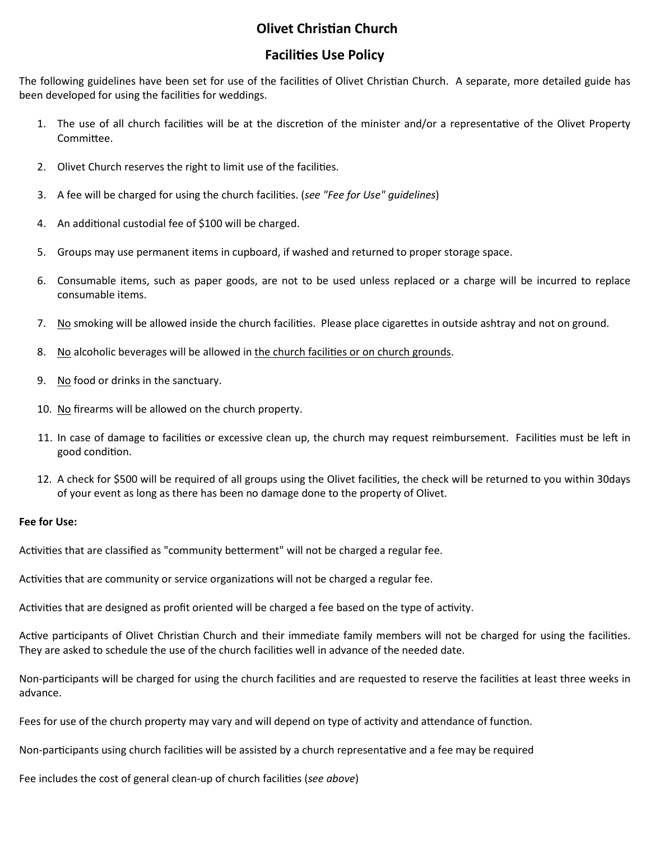## **Olivet Christian Church**

## Facilies Use Policy

The following guidelines have been set for use of the facilities of Olivet Christian Church. A separate, more detailed guide has been developed for using the facilities for weddings.

- 1. The use of all church facilities will be at the discretion of the minister and/or a representative of the Olivet Property Committee.
- 2. Olivet Church reserves the right to limit use of the facilities.
- 3. A fee will be charged for using the church facilities. (see "Fee for Use" quidelines)
- 4. An additional custodial fee of \$100 will be charged.
- 5. Groups may use permanent items in cupboard, if washed and returned to proper storage space.
- 6. Consumable items, such as paper goods, are not to be used unless replaced or a charge will be incurred to replace consumable items.
- 7. No smoking will be allowed inside the church facilities. Please place cigarettes in outside ashtray and not on ground.
- 8. No alcoholic beverages will be allowed in the church facilities or on church grounds.
- 9. No food or drinks in the sanctuary.
- 10. No firearms will be allowed on the church property.
- 11. In case of damage to facilities or excessive clean up, the church may request reimbursement. Facilities must be left in good condition.
- 12. A check for \$500 will be required of all groups using the Olivet facilies, the check will be returned to you within 30days of your event as long as there has been no damage done to the property of Olivet.

### Fee for Use:

Activities that are classified as "community betterment" will not be charged a regular fee.

Activities that are community or service organizations will not be charged a regular fee.

Activities that are designed as profit oriented will be charged a fee based on the type of activity.

Active participants of Olivet Christian Church and their immediate family members will not be charged for using the facilities. They are asked to schedule the use of the church facilities well in advance of the needed date.

Non-participants will be charged for using the church facilities and are requested to reserve the facilities at least three weeks in advance.

Fees for use of the church property may vary and will depend on type of activity and attendance of function.

Non-participants using church facilities will be assisted by a church representative and a fee may be required

Fee includes the cost of general clean-up of church facilities (see above)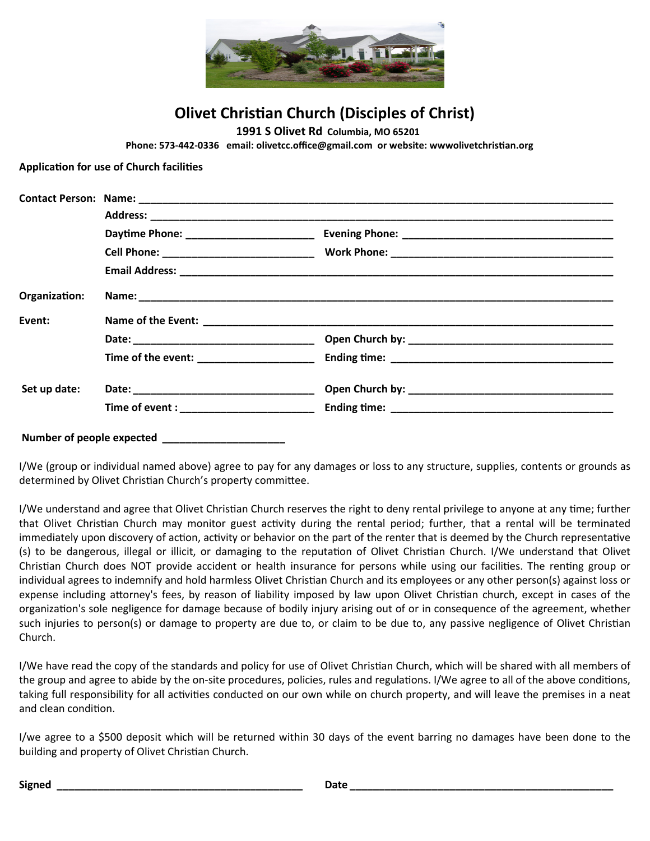

**Olivet Christian Church (Disciples of Christ)** 

1991 S Olivet Rd Columbia, MO 65201

Phone: 573-442-0336 email: olivetcc.office@gmail.com or website: wwwolivetchristian.org

Application for use of Church facilities

| Organization: |                                           |  |  |
|---------------|-------------------------------------------|--|--|
| Event:        |                                           |  |  |
|               |                                           |  |  |
|               | Time of the event: _____________________  |  |  |
| Set up date:  |                                           |  |  |
|               | Time of event : _________________________ |  |  |

I/We (group or individual named above) agree to pay for any damages or loss to any structure, supplies, contents or grounds as determined by Olivet Christian Church's property committee.

I/We understand and agree that Olivet Christian Church reserves the right to deny rental privilege to anyone at any time; further that Olivet Christian Church may monitor guest activity during the rental period; further, that a rental will be terminated immediately upon discovery of action, activity or behavior on the part of the renter that is deemed by the Church representative (s) to be dangerous, illegal or illicit, or damaging to the reputation of Olivet Christian Church. I/We understand that Olivet Christian Church does NOT provide accident or health insurance for persons while using our facilities. The renting group or individual agrees to indemnify and hold harmless Olivet Christian Church and its employees or any other person(s) against loss or expense including attorney's fees, by reason of liability imposed by law upon Olivet Christian church, except in cases of the organization's sole negligence for damage because of bodily injury arising out of or in consequence of the agreement, whether such injuries to person(s) or damage to property are due to, or claim to be due to, any passive negligence of Olivet Christian Church.

I/We have read the copy of the standards and policy for use of Olivet Christian Church, which will be shared with all members of the group and agree to abide by the on-site procedures, policies, rules and regulations. I/We agree to all of the above conditions, taking full responsibility for all activities conducted on our own while on church property, and will leave the premises in a neat and clean condition.

I/we agree to a \$500 deposit which will be returned within 30 days of the event barring no damages have been done to the building and property of Olivet Christian Church.